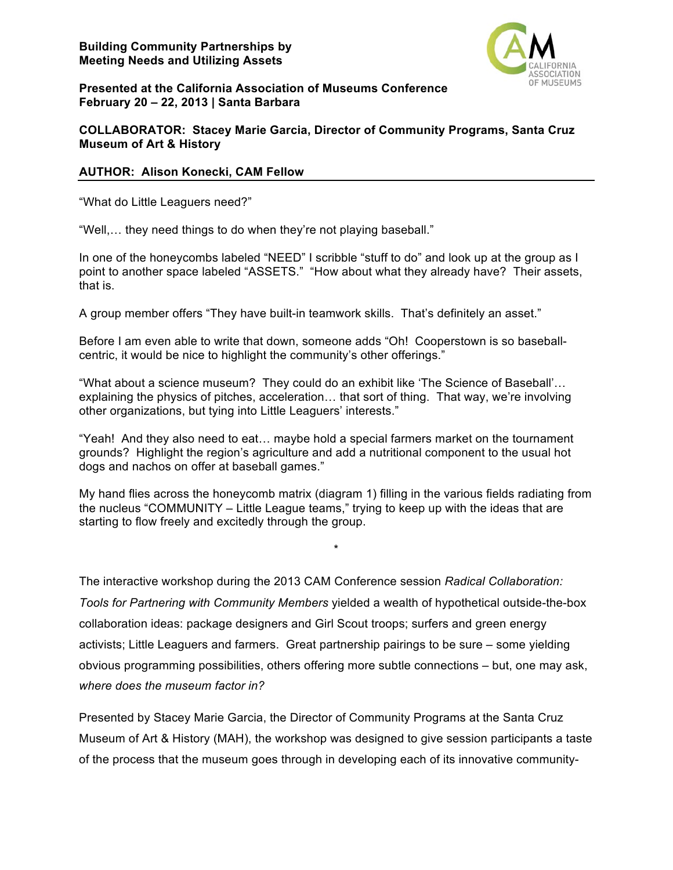

**Presented at the California Association of Museums Conference February 20 – 22, 2013 | Santa Barbara**

# **COLLABORATOR: Stacey Marie Garcia, Director of Community Programs, Santa Cruz Museum of Art & History**

# **AUTHOR: Alison Konecki, CAM Fellow**

"What do Little Leaguers need?"

"Well,… they need things to do when they're not playing baseball."

In one of the honeycombs labeled "NEED" I scribble "stuff to do" and look up at the group as I point to another space labeled "ASSETS." "How about what they already have? Their assets, that is.

A group member offers "They have built-in teamwork skills. That's definitely an asset."

Before I am even able to write that down, someone adds "Oh! Cooperstown is so baseballcentric, it would be nice to highlight the community's other offerings."

"What about a science museum? They could do an exhibit like 'The Science of Baseball'… explaining the physics of pitches, acceleration… that sort of thing. That way, we're involving other organizations, but tying into Little Leaguers' interests."

"Yeah! And they also need to eat… maybe hold a special farmers market on the tournament grounds? Highlight the region's agriculture and add a nutritional component to the usual hot dogs and nachos on offer at baseball games."

My hand flies across the honeycomb matrix (diagram 1) filling in the various fields radiating from the nucleus "COMMUNITY – Little League teams," trying to keep up with the ideas that are starting to flow freely and excitedly through the group.

\*

The interactive workshop during the 2013 CAM Conference session *Radical Collaboration: Tools for Partnering with Community Members* yielded a wealth of hypothetical outside-the-box collaboration ideas: package designers and Girl Scout troops; surfers and green energy activists; Little Leaguers and farmers. Great partnership pairings to be sure – some yielding obvious programming possibilities, others offering more subtle connections – but, one may ask, *where does the museum factor in?*

Presented by Stacey Marie Garcia, the Director of Community Programs at the Santa Cruz Museum of Art & History (MAH), the workshop was designed to give session participants a taste of the process that the museum goes through in developing each of its innovative community-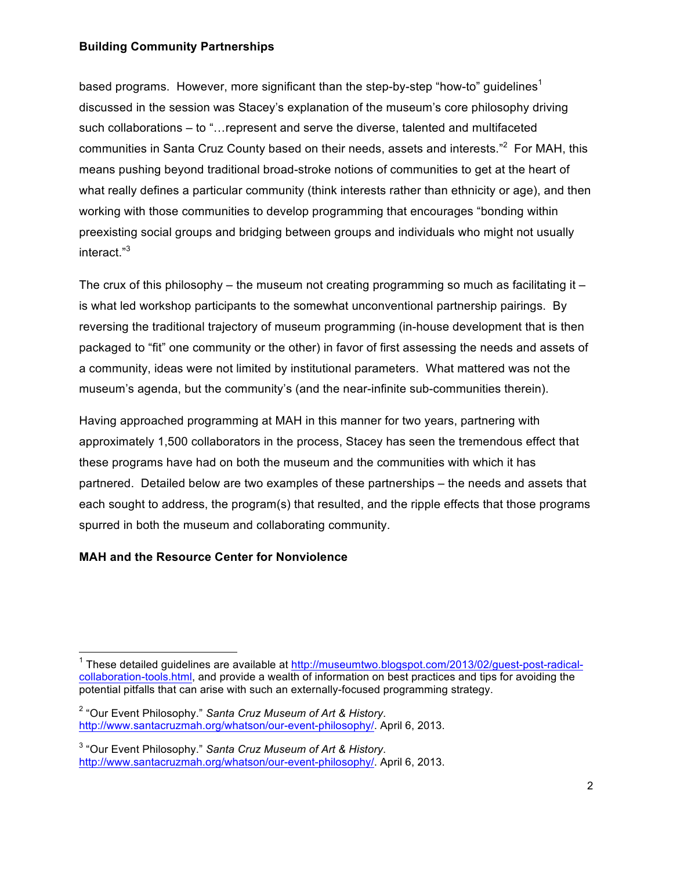based programs. However, more significant than the step-by-step "how-to" guidelines $1$ discussed in the session was Stacey's explanation of the museum's core philosophy driving such collaborations – to "…represent and serve the diverse, talented and multifaceted communities in Santa Cruz County based on their needs, assets and interests."<sup>2</sup> For MAH, this means pushing beyond traditional broad-stroke notions of communities to get at the heart of what really defines a particular community (think interests rather than ethnicity or age), and then working with those communities to develop programming that encourages "bonding within preexisting social groups and bridging between groups and individuals who might not usually interact." 3

The crux of this philosophy – the museum not creating programming so much as facilitating it – is what led workshop participants to the somewhat unconventional partnership pairings. By reversing the traditional trajectory of museum programming (in-house development that is then packaged to "fit" one community or the other) in favor of first assessing the needs and assets of a community, ideas were not limited by institutional parameters. What mattered was not the museum's agenda, but the community's (and the near-infinite sub-communities therein).

Having approached programming at MAH in this manner for two years, partnering with approximately 1,500 collaborators in the process, Stacey has seen the tremendous effect that these programs have had on both the museum and the communities with which it has partnered. Detailed below are two examples of these partnerships – the needs and assets that each sought to address, the program(s) that resulted, and the ripple effects that those programs spurred in both the museum and collaborating community.

# **MAH and the Resource Center for Nonviolence**

<u> 1989 - Jan Stein Stein, fransk politiker (d. 1989)</u>

<sup>&</sup>lt;sup>1</sup> These detailed guidelines are available at http://museumtwo.blogspot.com/2013/02/guest-post-radicalcollaboration-tools.html, and provide a wealth of information on best practices and tips for avoiding the potential pitfalls that can arise with such an externally-focused programming strategy.

<sup>2</sup> "Our Event Philosophy." *Santa Cruz Museum of Art & History*. http://www.santacruzmah.org/whatson/our-event-philosophy/. April 6, 2013.

<sup>3</sup> "Our Event Philosophy." *Santa Cruz Museum of Art & History*. http://www.santacruzmah.org/whatson/our-event-philosophy/. April 6, 2013.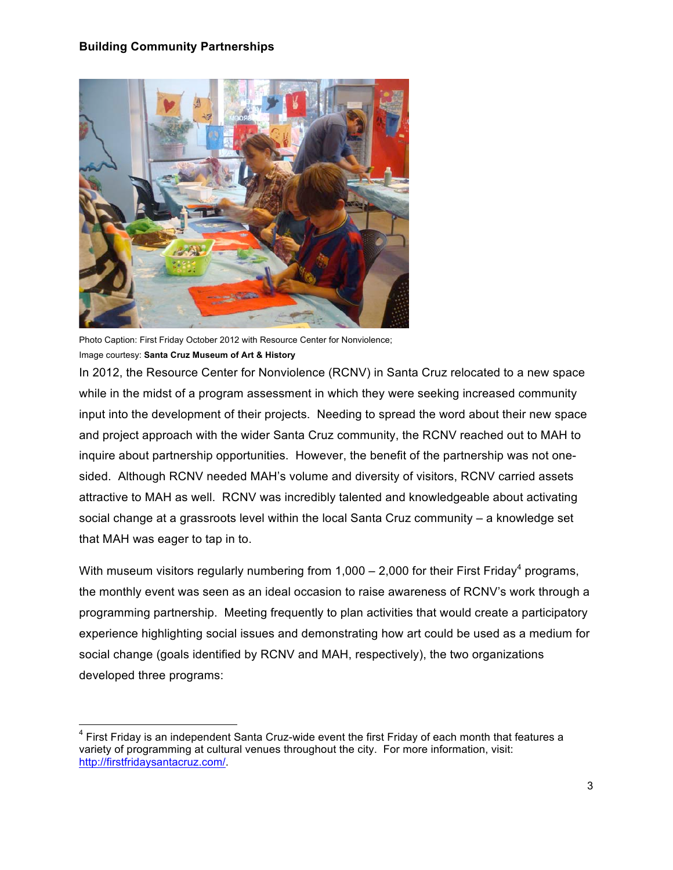

Photo Caption: First Friday October 2012 with Resource Center for Nonviolence; Image courtesy: **Santa Cruz Museum of Art & History**

<u> 1989 - Jan Stein Stein, fransk politiker (d. 1989)</u>

In 2012, the Resource Center for Nonviolence (RCNV) in Santa Cruz relocated to a new space while in the midst of a program assessment in which they were seeking increased community input into the development of their projects. Needing to spread the word about their new space and project approach with the wider Santa Cruz community, the RCNV reached out to MAH to inquire about partnership opportunities. However, the benefit of the partnership was not onesided. Although RCNV needed MAH's volume and diversity of visitors, RCNV carried assets attractive to MAH as well. RCNV was incredibly talented and knowledgeable about activating social change at a grassroots level within the local Santa Cruz community – a knowledge set that MAH was eager to tap in to.

With museum visitors regularly numbering from 1,000 – 2,000 for their First Friday<sup>4</sup> programs, the monthly event was seen as an ideal occasion to raise awareness of RCNV's work through a programming partnership. Meeting frequently to plan activities that would create a participatory experience highlighting social issues and demonstrating how art could be used as a medium for social change (goals identified by RCNV and MAH, respectively), the two organizations developed three programs:

 $4$  First Fridav is an independent Santa Cruz-wide event the first Friday of each month that features a variety of programming at cultural venues throughout the city. For more information, visit: http://firstfridaysantacruz.com/.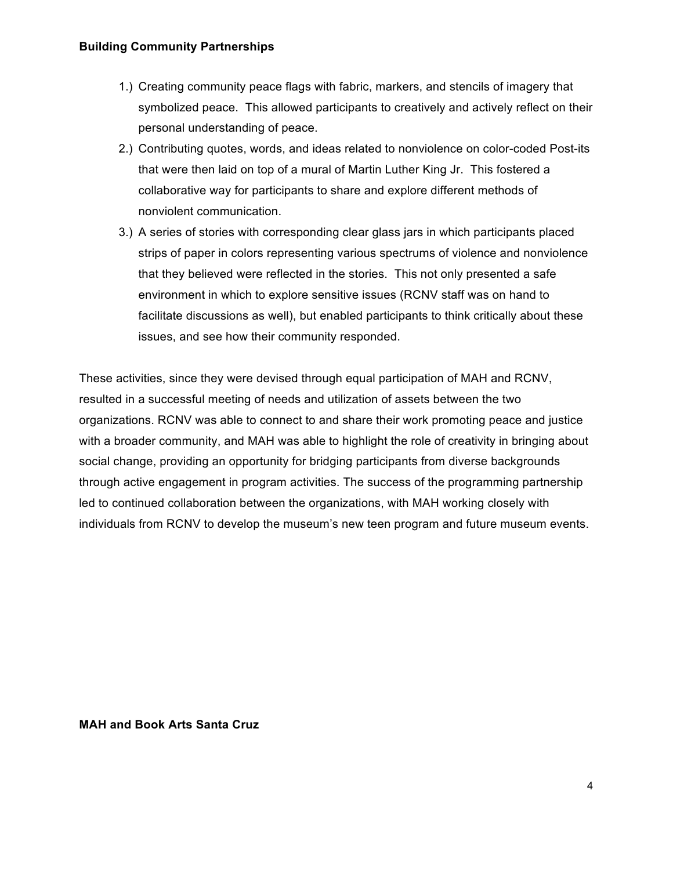- 1.) Creating community peace flags with fabric, markers, and stencils of imagery that symbolized peace. This allowed participants to creatively and actively reflect on their personal understanding of peace.
- 2.) Contributing quotes, words, and ideas related to nonviolence on color-coded Post-its that were then laid on top of a mural of Martin Luther King Jr. This fostered a collaborative way for participants to share and explore different methods of nonviolent communication.
- 3.) A series of stories with corresponding clear glass jars in which participants placed strips of paper in colors representing various spectrums of violence and nonviolence that they believed were reflected in the stories. This not only presented a safe environment in which to explore sensitive issues (RCNV staff was on hand to facilitate discussions as well), but enabled participants to think critically about these issues, and see how their community responded.

These activities, since they were devised through equal participation of MAH and RCNV, resulted in a successful meeting of needs and utilization of assets between the two organizations. RCNV was able to connect to and share their work promoting peace and justice with a broader community, and MAH was able to highlight the role of creativity in bringing about social change, providing an opportunity for bridging participants from diverse backgrounds through active engagement in program activities. The success of the programming partnership led to continued collaboration between the organizations, with MAH working closely with individuals from RCNV to develop the museum's new teen program and future museum events.

**MAH and Book Arts Santa Cruz**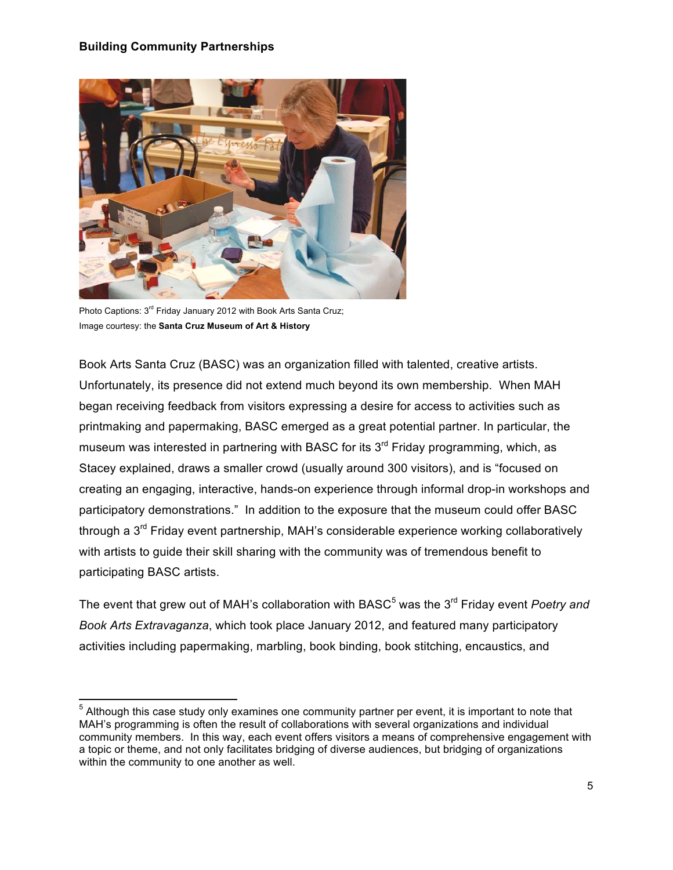

Photo Captions: 3<sup>rd</sup> Friday January 2012 with Book Arts Santa Cruz; Image courtesy: the **Santa Cruz Museum of Art & History**

<u> 1989 - Jan Stein Stein, fransk politiker (d. 1989)</u>

Book Arts Santa Cruz (BASC) was an organization filled with talented, creative artists. Unfortunately, its presence did not extend much beyond its own membership. When MAH began receiving feedback from visitors expressing a desire for access to activities such as printmaking and papermaking, BASC emerged as a great potential partner. In particular, the museum was interested in partnering with BASC for its  $3<sup>rd</sup>$  Friday programming, which, as Stacey explained, draws a smaller crowd (usually around 300 visitors), and is "focused on creating an engaging, interactive, hands-on experience through informal drop-in workshops and participatory demonstrations." In addition to the exposure that the museum could offer BASC through a  $3<sup>rd</sup>$  Friday event partnership, MAH's considerable experience working collaboratively with artists to guide their skill sharing with the community was of tremendous benefit to participating BASC artists.

The event that grew out of MAH's collaboration with BASC<sup>5</sup> was the 3<sup>rd</sup> Friday event *Poetry and Book Arts Extravaganza*, which took place January 2012, and featured many participatory activities including papermaking, marbling, book binding, book stitching, encaustics, and

<sup>&</sup>lt;sup>5</sup> Although this case study only examines one community partner per event, it is important to note that MAH's programming is often the result of collaborations with several organizations and individual community members. In this way, each event offers visitors a means of comprehensive engagement with a topic or theme, and not only facilitates bridging of diverse audiences, but bridging of organizations within the community to one another as well.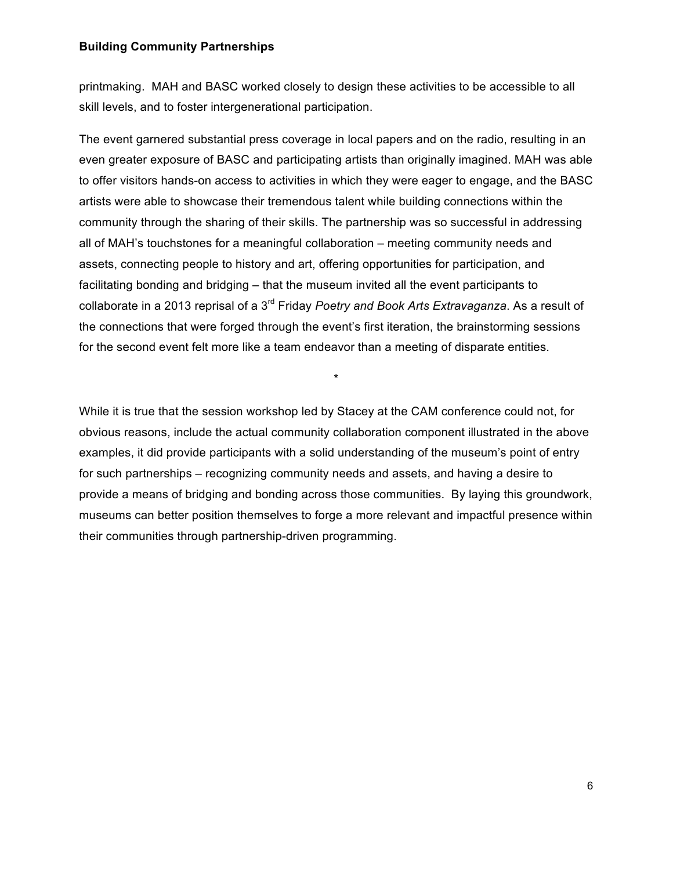printmaking. MAH and BASC worked closely to design these activities to be accessible to all skill levels, and to foster intergenerational participation.

The event garnered substantial press coverage in local papers and on the radio, resulting in an even greater exposure of BASC and participating artists than originally imagined. MAH was able to offer visitors hands-on access to activities in which they were eager to engage, and the BASC artists were able to showcase their tremendous talent while building connections within the community through the sharing of their skills. The partnership was so successful in addressing all of MAH's touchstones for a meaningful collaboration – meeting community needs and assets, connecting people to history and art, offering opportunities for participation, and facilitating bonding and bridging – that the museum invited all the event participants to collaborate in a 2013 reprisal of a 3rd Friday *Poetry and Book Arts Extravaganza*. As a result of the connections that were forged through the event's first iteration, the brainstorming sessions for the second event felt more like a team endeavor than a meeting of disparate entities.

While it is true that the session workshop led by Stacey at the CAM conference could not, for obvious reasons, include the actual community collaboration component illustrated in the above examples, it did provide participants with a solid understanding of the museum's point of entry for such partnerships – recognizing community needs and assets, and having a desire to provide a means of bridging and bonding across those communities. By laying this groundwork, museums can better position themselves to forge a more relevant and impactful presence within their communities through partnership-driven programming.

\*